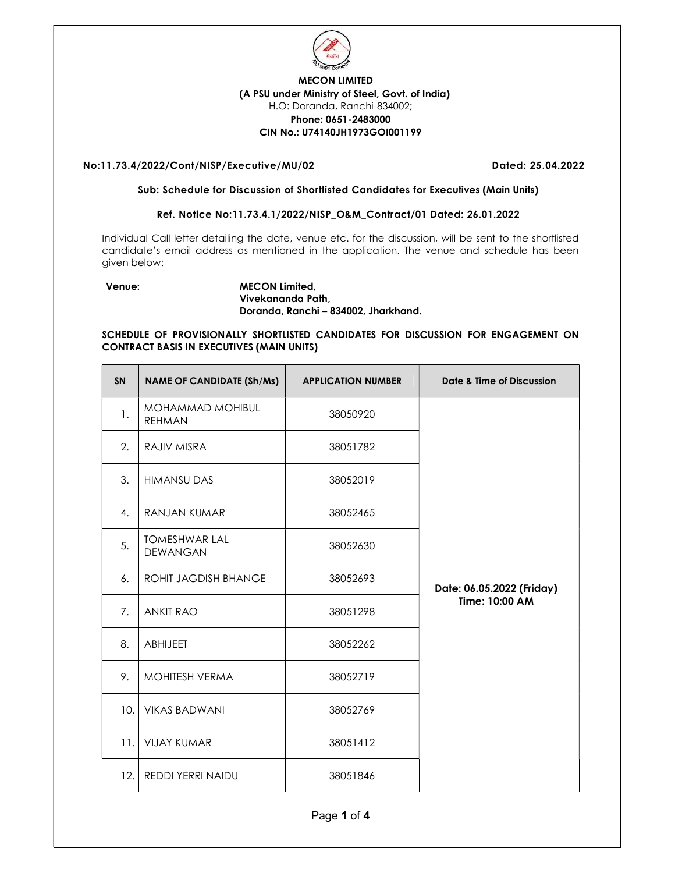

# MECON LIMITED (A PSU under Ministry of Steel, Govt. of India) H.O: Doranda, Ranchi-834002; Phone: 0651-2483000 CIN No.: U74140JH1973GOI001199

## No:11.73.4/2022/Cont/NISP/Executive/MU/02 Dated: 25.04.2022

#### Sub: Schedule for Discussion of Shortlisted Candidates for Executives (Main Units)

## Ref. Notice No:11.73.4.1/2022/NISP\_O&M\_Contract/01 Dated: 26.01.2022

Individual Call letter detailing the date, venue etc. for the discussion, will be sent to the shortlisted candidate's email address as mentioned in the application. The venue and schedule has been given below:

### Venue: MECON Limited, Vivekananda Path, Doranda, Ranchi – 834002, Jharkhand.

## SCHEDULE OF PROVISIONALLY SHORTLISTED CANDIDATES FOR DISCUSSION FOR ENGAGEMENT ON CONTRACT BASIS IN EXECUTIVES (MAIN UNITS)

| <b>SN</b> | <b>NAME OF CANDIDATE (Sh/Ms)</b>        | <b>APPLICATION NUMBER</b> | Date & Time of Discussion |
|-----------|-----------------------------------------|---------------------------|---------------------------|
| 1.        | MOHAMMAD MOHIBUL<br><b>REHMAN</b>       | 38050920                  |                           |
| 2.        | RAJIV MISRA                             | 38051782                  |                           |
| 3.        | <b>HIMANSU DAS</b>                      | 38052019                  |                           |
| 4.        | RANJAN KUMAR                            | 38052465                  |                           |
| 5.        | <b>TOMESHWAR LAL</b><br><b>DEWANGAN</b> | 38052630                  |                           |
| 6.        | ROHIT JAGDISH BHANGE                    | 38052693                  | Date: 06.05.2022 (Friday) |
| 7.        | <b>ANKIT RAO</b>                        | 38051298                  | Time: 10:00 AM            |
| 8.        | <b>ABHIJEET</b>                         | 38052262                  |                           |
| 9.        | MOHITESH VERMA                          | 38052719                  |                           |
| 10.       | <b>VIKAS BADWANI</b>                    | 38052769                  |                           |
| 11.       | <b>VIJAY KUMAR</b>                      | 38051412                  |                           |
| 12.       | <b>REDDI YERRI NAIDU</b>                | 38051846                  |                           |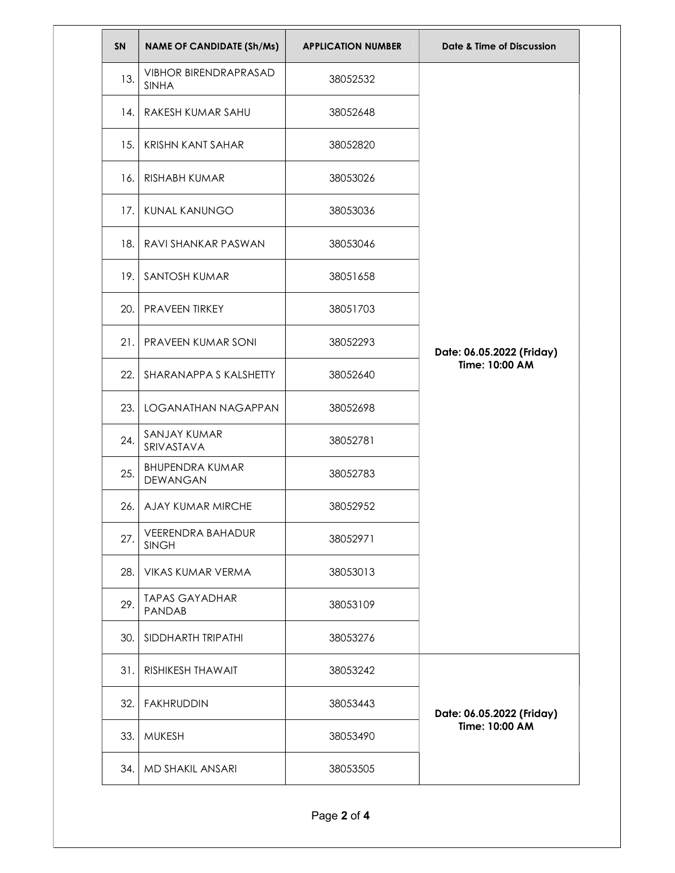| <b>SN</b> | <b>NAME OF CANDIDATE (Sh/Ms)</b>             | <b>APPLICATION NUMBER</b> | Date & Time of Discussion                   |
|-----------|----------------------------------------------|---------------------------|---------------------------------------------|
| 13.       | <b>VIBHOR BIRENDRAPRASAD</b><br><b>SINHA</b> | 38052532                  | Date: 06.05.2022 (Friday)<br>Time: 10:00 AM |
| 14.       | RAKESH KUMAR SAHU                            | 38052648                  |                                             |
| 15.       | <b>KRISHN KANT SAHAR</b>                     | 38052820                  |                                             |
| 16.       | RISHABH KUMAR                                | 38053026                  |                                             |
| 17.       | KUNAL KANUNGO                                | 38053036                  |                                             |
| 18.       | RAVI SHANKAR PASWAN                          | 38053046                  |                                             |
| 19.       | SANTOSH KUMAR                                | 38051658                  |                                             |
| 20.       | PRAVEEN TIRKEY                               | 38051703                  |                                             |
| 21.       | PRAVEEN KUMAR SONI                           | 38052293                  |                                             |
| 22.       | SHARANAPPA S KALSHETTY                       | 38052640                  |                                             |
| 23.       | LOGANATHAN NAGAPPAN                          | 38052698                  |                                             |
| 24.       | SANJAY KUMAR<br>SRIVASTAVA                   | 38052781                  |                                             |
| 25.       | <b>BHUPENDRA KUMAR</b><br><b>DEWANGAN</b>    | 38052783                  |                                             |
|           | 26. AJAY KUMAR MIRCHE                        | 38052952                  |                                             |
| 27.       | <b>VEERENDRA BAHADUR</b><br><b>SINGH</b>     | 38052971                  |                                             |
| 28.       | VIKAS KUMAR VERMA                            | 38053013                  |                                             |
| 29.       | <b>TAPAS GAYADHAR</b><br>PANDAB              | 38053109                  |                                             |
| 30.       | SIDDHARTH TRIPATHI                           | 38053276                  |                                             |
| 31.       | <b>RISHIKESH THAWAIT</b>                     | 38053242                  | Date: 06.05.2022 (Friday)<br>Time: 10:00 AM |
| 32.       | <b>FAKHRUDDIN</b>                            | 38053443                  |                                             |
| 33.       | <b>MUKESH</b>                                | 38053490                  |                                             |
|           | 34.   MD SHAKIL ANSARI                       | 38053505                  |                                             |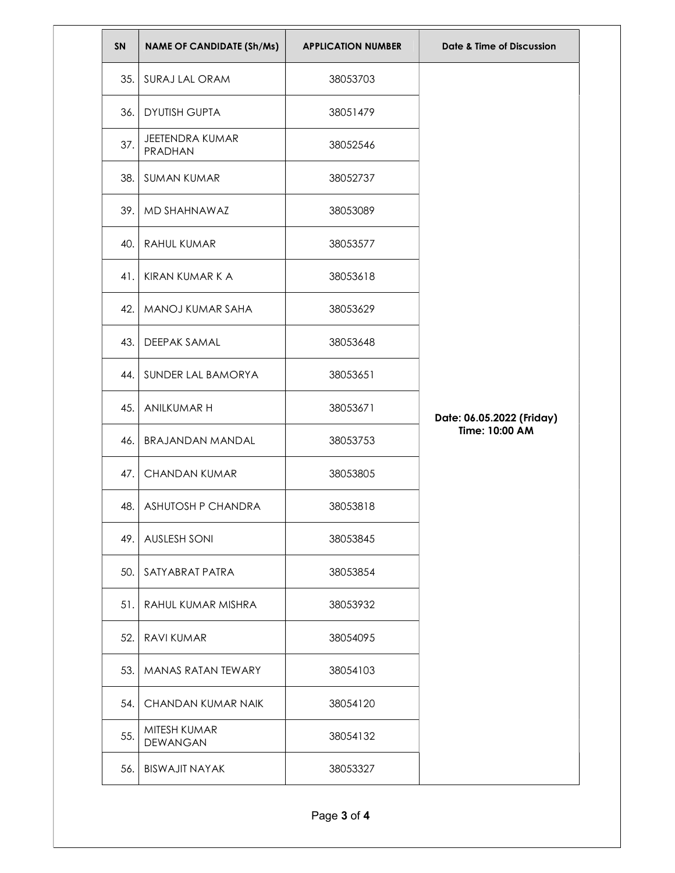| SN   | <b>NAME OF CANDIDATE (Sh/Ms)</b> | <b>APPLICATION NUMBER</b> | Date & Time of Discussion |
|------|----------------------------------|---------------------------|---------------------------|
| 35.  | SURAJ LAL ORAM                   | 38053703                  |                           |
| 36.  | <b>DYUTISH GUPTA</b>             | 38051479                  |                           |
| 37.  | JEETENDRA KUMAR<br>PRADHAN       | 38052546                  |                           |
|      | 38. SUMAN KUMAR                  | 38052737                  |                           |
|      | 39.   MD SHAHNAWAZ               | 38053089                  |                           |
|      | 40. RAHUL KUMAR                  | 38053577                  |                           |
| 41.1 | KIRAN KUMAR K A                  | 38053618                  |                           |
|      | 42.   MANOJ KUMAR SAHA           | 38053629                  |                           |
| 43.  | DEEPAK SAMAL                     | 38053648                  |                           |
|      | 44. SUNDER LAL BAMORYA           | 38053651                  |                           |
| 45.  | ANILKUMAR H                      | 38053671                  | Date: 06.05.2022 (Friday) |
| 46.1 | BRAJANDAN MANDAL                 | 38053753                  | Time: 10:00 AM            |
| 47.1 | <b>CHANDAN KUMAR</b>             | 38053805                  |                           |
|      | 48. ASHUTOSH P CHANDRA           | 38053818                  |                           |
|      | 49. AUSLESH SONI                 | 38053845                  |                           |
|      | 50. SATY ABRAT PATRA             | 38053854                  |                           |
|      | 51. RAHUL KUMAR MISHRA           | 38053932                  |                           |
|      | 52. RAVI KUMAR                   | 38054095                  |                           |
|      | 53. MANAS RATAN TEWARY           | 38054103                  |                           |
| 54.  | CHANDAN KUMAR NAIK               | 38054120                  |                           |
| 55.  | MITESH KUMAR<br>DEWANGAN         | 38054132                  |                           |
| 56.1 | <b>BISWAJIT NAYAK</b>            | 38053327                  |                           |